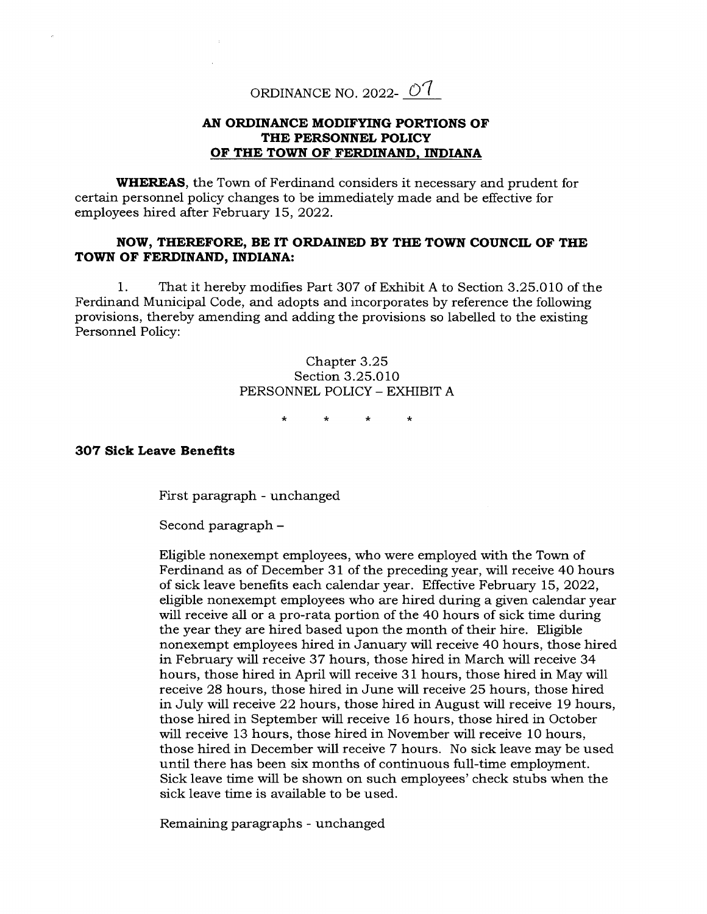ORDINANCE NO. 2022-  $O<sup>7</sup>$ 

## **AN ORDINANCE MODIFYING PORTIONS OF THE PERSONNEL POLICY OF THE TOWN OF FERDINAND, INDIANA**

**WHEREAS,** the Town of Ferdinand considers it necessary and prudent for certain personnel policy changes to be immediately made and be effective for employees hired after February 15, 2022.

## **NOW, THEREFORE, BE IT ORDAINED BY THE TOWN COUNCIL OF THE TOWN OF FERDINAND, INDIANA:**

1. That it hereby modifies Part 307 of Exhibit A to Section 3.25.010 of the Ferdinand Municipal Code, and adopts and incorporates by reference the following provisions, thereby amending and adding the provisions so labelled to the existing Personnel Policy:

> Chapter 3.25 Section 3.25.010 PERSONNEL POLICY - EXHIBIT A

> > $\dot{\mathbf{x}}$

## **307 Sick Leave Benefits**

First paragraph - unchanged

Second paragraph -

Eligible nonexempt employees, who were employed with the Town of Ferdinand as of December 31 of the preceding year, will receive 40 hours of sick leave benefits each calendar year. Effective February 15, 2022, eligible nonexempt employees who are hired during a given calendar year will receive all or a pro-rata portion of the 40 hours of sick time during the year they are hired based upon the month of their hire. Eligible nonexempt employees hired in January will receive 40 hours, those hired in February will receive 37 hours, those hired in March will receive 34 hours, those hired in April will receive 31 hours, those hired in May will receive 28 hours, those hired in June will receive 25 hours, those hired in July will receive 22 hours, those hired in August will receive 19 hours, those hired in September will receive 16 hours, those hired in October will receive 13 hours, those hired in November will receive 10 hours, those hired in December will receive 7 hours. No sick leave may be used until there has been six months of continuous full-time employment. Sick leave time will be shown on such employees' check stubs when the sick leave time is available to be used.

Remaining paragraphs - unchanged